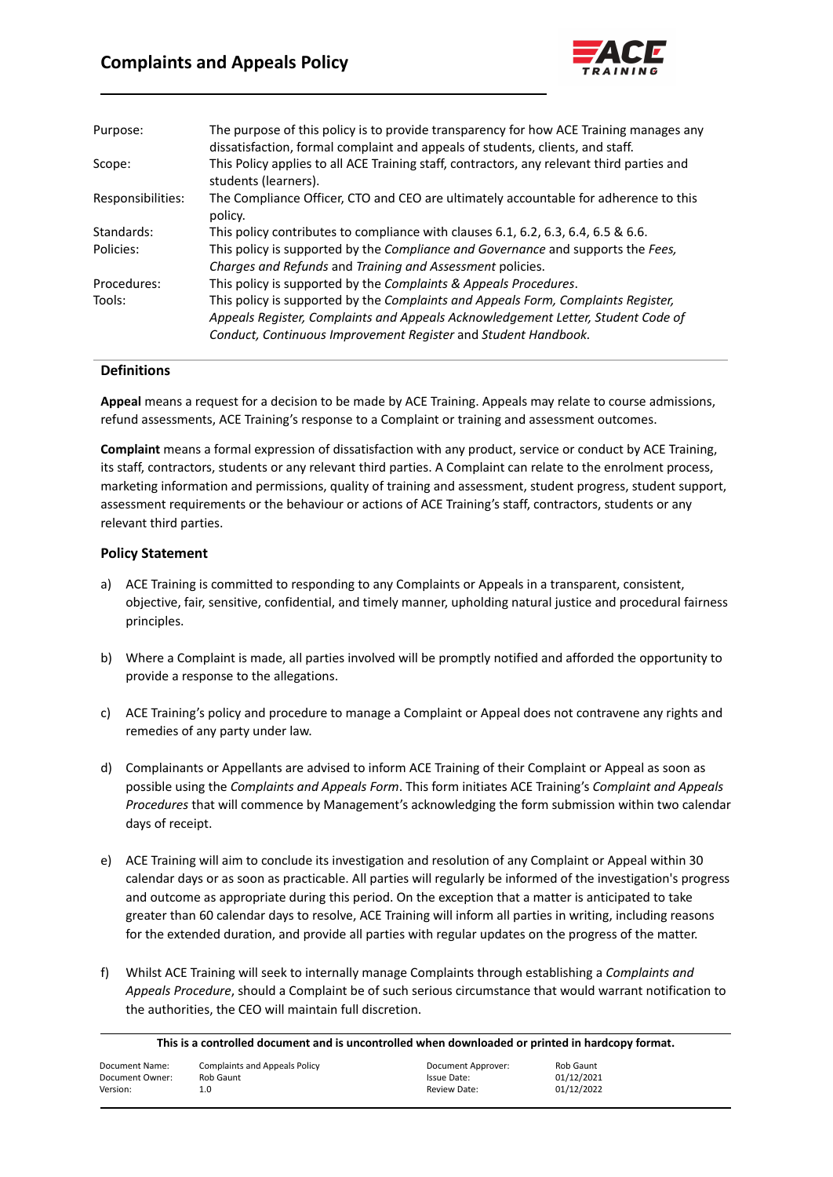

| Purpose:          | The purpose of this policy is to provide transparency for how ACE Training manages any<br>dissatisfaction, formal complaint and appeals of students, clients, and staff. |
|-------------------|--------------------------------------------------------------------------------------------------------------------------------------------------------------------------|
| Scope:            | This Policy applies to all ACE Training staff, contractors, any relevant third parties and<br>students (learners).                                                       |
| Responsibilities: | The Compliance Officer, CTO and CEO are ultimately accountable for adherence to this<br>policy.                                                                          |
| Standards:        | This policy contributes to compliance with clauses 6.1, 6.2, 6.3, 6.4, 6.5 & 6.6.                                                                                        |
| Policies:         | This policy is supported by the Compliance and Governance and supports the Fees,<br>Charges and Refunds and Training and Assessment policies.                            |
| Procedures:       | This policy is supported by the Complaints & Appeals Procedures.                                                                                                         |
| Tools:            | This policy is supported by the Complaints and Appeals Form, Complaints Register,                                                                                        |
|                   | Appeals Register, Complaints and Appeals Acknowledgement Letter, Student Code of                                                                                         |
|                   | Conduct, Continuous Improvement Register and Student Handbook.                                                                                                           |

## **Definitions**

**Appeal** means a request for a decision to be made by ACE Training. Appeals may relate to course admissions, refund assessments, ACE Training's response to a Complaint or training and assessment outcomes.

**Complaint** means a formal expression of dissatisfaction with any product, service or conduct by ACE Training, its staff, contractors, students or any relevant third parties. A Complaint can relate to the enrolment process, marketing information and permissions, quality of training and assessment, student progress, student support, assessment requirements or the behaviour or actions of ACE Training's staff, contractors, students or any relevant third parties.

## **Policy Statement**

- a) ACE Training is committed to responding to any Complaints or Appeals in a transparent, consistent, objective, fair, sensitive, confidential, and timely manner, upholding natural justice and procedural fairness principles.
- b) Where a Complaint is made, all parties involved will be promptly notified and afforded the opportunity to provide a response to the allegations.
- c) ACE Training's policy and procedure to manage a Complaint or Appeal does not contravene any rights and remedies of any party under law.
- d) Complainants or Appellants are advised to inform ACE Training of their Complaint or Appeal as soon as possible using the *Complaints and Appeals Form*. This form initiates ACE Training's *Complaint and Appeals Procedures* that will commence by Management's acknowledging the form submission within two calendar days of receipt.
- e) ACE Training will aim to conclude its investigation and resolution of any Complaint or Appeal within 30 calendar days or as soon as practicable. All parties will regularly be informed of the investigation's progress and outcome as appropriate during this period. On the exception that a matter is anticipated to take greater than 60 calendar days to resolve, ACE Training will inform all parties in writing, including reasons for the extended duration, and provide all parties with regular updates on the progress of the matter.
- f) Whilst ACE Training will seek to internally manage Complaints through establishing a *Complaints and Appeals Procedure*, should a Complaint be of such serious circumstance that would warrant notification to the authorities, the CEO will maintain full discretion.

| This is a controlled document and is uncontrolled when downloaded or printed in hardcopy format. |  |
|--------------------------------------------------------------------------------------------------|--|
|--------------------------------------------------------------------------------------------------|--|

| Document Name:  | <b>Complaints and Appeals Policy</b> | Document Approver: | Rob Gaunt  |
|-----------------|--------------------------------------|--------------------|------------|
| Document Owner: | Rob Gaunt                            | Issue Date:        | 01/12/2021 |
| Version:        | 1.0                                  | Review Date:       | 01/12/2022 |